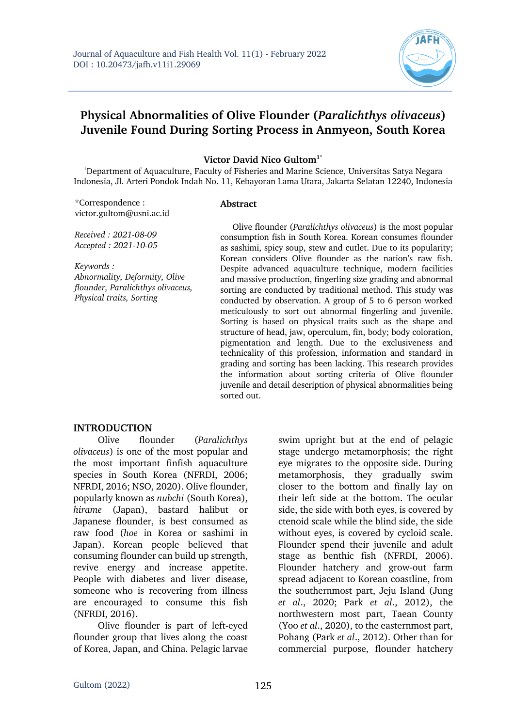

# **Physical Abnormalities of Olive Flounder (***Paralichthys olivaceus***) Juvenile Found During Sorting Process in Anmyeon, South Korea**

**Victor David Nico Gultom1\***

<sup>1</sup>Department of Aquaculture, Faculty of Fisheries and Marine Science, Universitas Satya Negara Indonesia, Jl. Arteri Pondok Indah No. 11, Kebayoran Lama Utara, Jakarta Selatan 12240, Indonesia

\*Correspondence : victor.gultom@usni.ac.id

#### **Abstract**

*Received : 2021-08-09 Accepted : 2021-10-05*

*Keywords : Abnormality, Deformity, Olive flounder, Paralichthys olivaceus, Physical traits, Sorting*

Olive flounder (*Paralichthys olivaceus*) is the most popular consumption fish in South Korea. Korean consumes flounder as sashimi, spicy soup, stew and cutlet. Due to its popularity; Korean considers Olive flounder as the nation's raw fish. Despite advanced aquaculture technique, modern facilities and massive production, fingerling size grading and abnormal sorting are conducted by traditional method. This study was conducted by observation. A group of 5 to 6 person worked meticulously to sort out abnormal fingerling and juvenile. Sorting is based on physical traits such as the shape and structure of head, jaw, operculum, fin, body; body coloration, pigmentation and length. Due to the exclusiveness and technicality of this profession, information and standard in grading and sorting has been lacking. This research provides the information about sorting criteria of Olive flounder juvenile and detail description of physical abnormalities being sorted out.

#### **INTRODUCTION**

Olive flounder (*Paralichthys olivaceus*) is one of the most popular and the most important finfish aquaculture species in South Korea (NFRDI, 2006; NFRDI, 2016; NSO, 2020). Olive flounder, popularly known as *nubchi* (South Korea), *hirame* (Japan), bastard halibut or Japanese flounder, is best consumed as raw food (*hoe* in Korea or sashimi in Japan). Korean people believed that consuming flounder can build up strength, revive energy and increase appetite. People with diabetes and liver disease, someone who is recovering from illness are encouraged to consume this fish (NFRDI, 2016).

Olive flounder is part of left-eyed flounder group that lives along the coast of Korea, Japan, and China. Pelagic larvae swim upright but at the end of pelagic stage undergo metamorphosis; the right eye migrates to the opposite side. During metamorphosis, they gradually swim closer to the bottom and finally lay on their left side at the bottom. The ocular side, the side with both eyes, is covered by ctenoid scale while the blind side, the side without eyes, is covered by cycloid scale. Flounder spend their juvenile and adult stage as benthic fish (NFRDI, 2006). Flounder hatchery and grow-out farm spread adjacent to Korean coastline, from the southernmost part, Jeju Island (Jung *et al*., 2020; Park *et al*., 2012), the northwestern most part, Taean County (Yoo *et al*., 2020), to the easternmost part, Pohang (Park *et al*., 2012). Other than for commercial purpose, flounder hatchery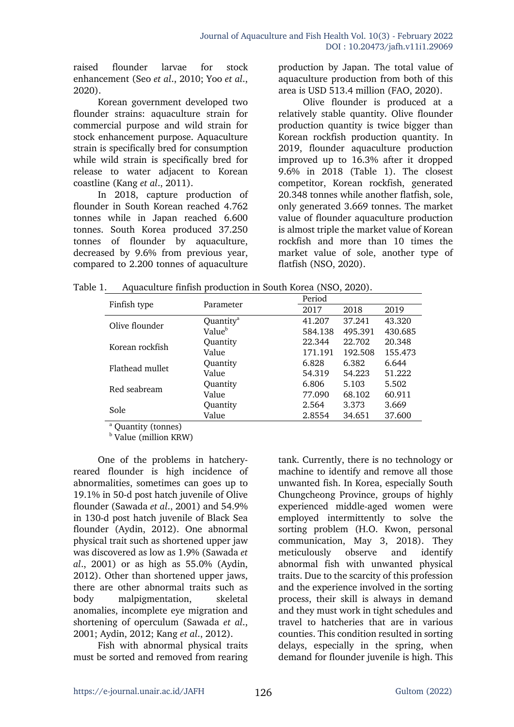raised flounder larvae for stock enhancement (Seo *et al*., 2010; Yoo *et al*., 2020).

Korean government developed two flounder strains: aquaculture strain for commercial purpose and wild strain for stock enhancement purpose. Aquaculture strain is specifically bred for consumption while wild strain is specifically bred for release to water adjacent to Korean coastline (Kang *et al*., 2011).

In 2018, capture production of flounder in South Korean reached 4.762 tonnes while in Japan reached 6.600 tonnes. South Korea produced 37.250 tonnes of flounder by aquaculture, decreased by 9.6% from previous year, compared to 2.200 tonnes of aquaculture

production by Japan. The total value of aquaculture production from both of this area is USD 513.4 million (FAO, 2020).

Olive flounder is produced at a relatively stable quantity. Olive flounder production quantity is twice bigger than Korean rockfish production quantity. In 2019, flounder aquaculture production improved up to 16.3% after it dropped 9.6% in 2018 (Table 1). The closest competitor, Korean rockfish, generated 20.348 tonnes while another flatfish, sole, only generated 3.669 tonnes. The market value of flounder aquaculture production is almost triple the market value of Korean rockfish and more than 10 times the market value of sole, another type of flatfish (NSO, 2020).

Table 1. Aquaculture finfish production in South Korea (NSO, 2020).

| Finfish type    | Parameter             | Period  |         |         |
|-----------------|-----------------------|---------|---------|---------|
|                 |                       | 2017    | 2018    | 2019    |
| Olive flounder  | Quantity <sup>a</sup> | 41.207  | 37.241  | 43.320  |
|                 | Value <sup>b</sup>    | 584.138 | 495.391 | 430.685 |
| Korean rockfish | Quantity              | 22.344  | 22.702  | 20.348  |
|                 | Value                 | 171.191 | 192.508 | 155.473 |
| Flathead mullet | Quantity              | 6.828   | 6.382   | 6.644   |
|                 | Value                 | 54.319  | 54.223  | 51.222  |
| Red seabream    | Quantity              | 6.806   | 5.103   | 5.502   |
|                 | Value                 | 77.090  | 68.102  | 60.911  |
| Sole            | Quantity              | 2.564   | 3.373   | 3.669   |
|                 | Value                 | 2.8554  | 34.651  | 37.600  |

<sup>a</sup> Quantity (tonnes)

<sup>b</sup> Value (million KRW)

One of the problems in hatcheryreared flounder is high incidence of abnormalities, sometimes can goes up to 19.1% in 50-d post hatch juvenile of Olive flounder (Sawada *et al*., 2001) and 54.9% in 130-d post hatch juvenile of Black Sea flounder (Aydin, 2012). One abnormal physical trait such as shortened upper jaw was discovered as low as 1.9% (Sawada *et al*., 2001) or as high as 55.0% (Aydin, 2012). Other than shortened upper jaws, there are other abnormal traits such as body malpigmentation, skeletal anomalies, incomplete eye migration and shortening of operculum (Sawada *et al*., 2001; Aydin, 2012; Kang *et al*., 2012).

Fish with abnormal physical traits must be sorted and removed from rearing tank. Currently, there is no technology or machine to identify and remove all those unwanted fish. In Korea, especially South Chungcheong Province, groups of highly experienced middle-aged women were employed intermittently to solve the sorting problem (H.O. Kwon, personal communication, May 3, 2018). They meticulously observe and identify abnormal fish with unwanted physical traits. Due to the scarcity of this profession and the experience involved in the sorting process, their skill is always in demand and they must work in tight schedules and travel to hatcheries that are in various counties. This condition resulted in sorting delays, especially in the spring, when demand for flounder juvenile is high. This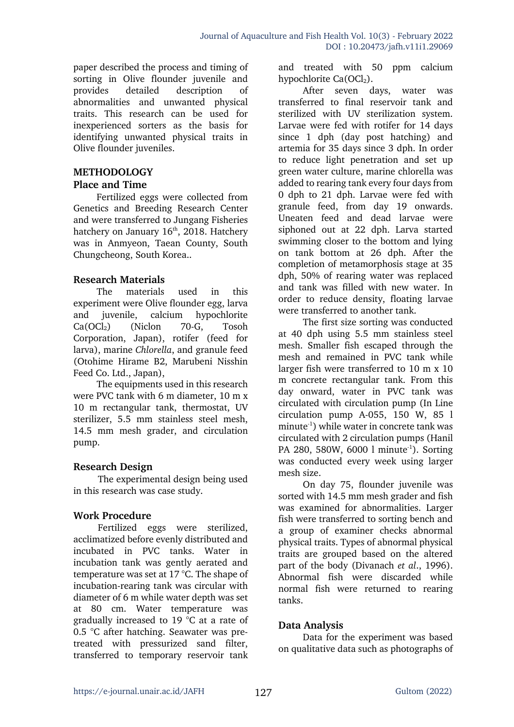paper described the process and timing of sorting in Olive flounder juvenile and provides detailed description of abnormalities and unwanted physical traits. This research can be used for inexperienced sorters as the basis for identifying unwanted physical traits in Olive flounder juveniles.

## **METHODOLOGY**

### **Place and Time**

Fertilized eggs were collected from Genetics and Breeding Research Center and were transferred to Jungang Fisheries hatchery on January 16<sup>th</sup>, 2018. Hatchery was in Anmyeon, Taean County, South Chungcheong, South Korea..

## **Research Materials**

The materials used in this experiment were Olive flounder egg, larva and juvenile, calcium hypochlorite Ca(OCl<sub>2</sub>) (Niclon 70-G, Tosoh Corporation, Japan), rotifer (feed for larva), marine *Chlorella*, and granule feed (Otohime Hirame B2, Marubeni Nisshin Feed Co. Ltd., Japan),

The equipments used in this research were PVC tank with 6 m diameter, 10 m x 10 m rectangular tank, thermostat, UV sterilizer, 5.5 mm stainless steel mesh, 14.5 mm mesh grader, and circulation pump.

## **Research Design**

The experimental design being used in this research was case study.

## **Work Procedure**

Fertilized eggs were sterilized, acclimatized before evenly distributed and incubated in PVC tanks. Water in incubation tank was gently aerated and temperature was set at 17 °C. The shape of incubation-rearing tank was circular with diameter of 6 m while water depth was set at 80 cm. Water temperature was gradually increased to 19 °C at a rate of 0.5 °C after hatching. Seawater was pretreated with pressurized sand filter, transferred to temporary reservoir tank

and treated with 50 ppm calcium hypochlorite  $Ca(OCl<sub>2</sub>)$ .

After seven days, water was transferred to final reservoir tank and sterilized with UV sterilization system. Larvae were fed with rotifer for 14 days since 1 dph (day post hatching) and artemia for 35 days since 3 dph. In order to reduce light penetration and set up green water culture, marine chlorella was added to rearing tank every four days from 0 dph to 21 dph. Larvae were fed with granule feed, from day 19 onwards. Uneaten feed and dead larvae were siphoned out at 22 dph. Larva started swimming closer to the bottom and lying on tank bottom at 26 dph. After the completion of metamorphosis stage at 35 dph, 50% of rearing water was replaced and tank was filled with new water. In order to reduce density, floating larvae were transferred to another tank.

The first size sorting was conducted at 40 dph using 5.5 mm stainless steel mesh. Smaller fish escaped through the mesh and remained in PVC tank while larger fish were transferred to 10 m x 10 m concrete rectangular tank. From this day onward, water in PVC tank was circulated with circulation pump (In Line circulation pump A-055, 150 W, 85 l minute-1 ) while water in concrete tank was circulated with 2 circulation pumps (Hanil PA 280, 580W, 6000 l minute<sup>-1</sup>). Sorting was conducted every week using larger mesh size.

On day 75, flounder juvenile was sorted with 14.5 mm mesh grader and fish was examined for abnormalities. Larger fish were transferred to sorting bench and a group of examiner checks abnormal physical traits. Types of abnormal physical traits are grouped based on the altered part of the body (Divanach *et al*., 1996). Abnormal fish were discarded while normal fish were returned to rearing tanks.

## **Data Analysis**

Data for the experiment was based on qualitative data such as photographs of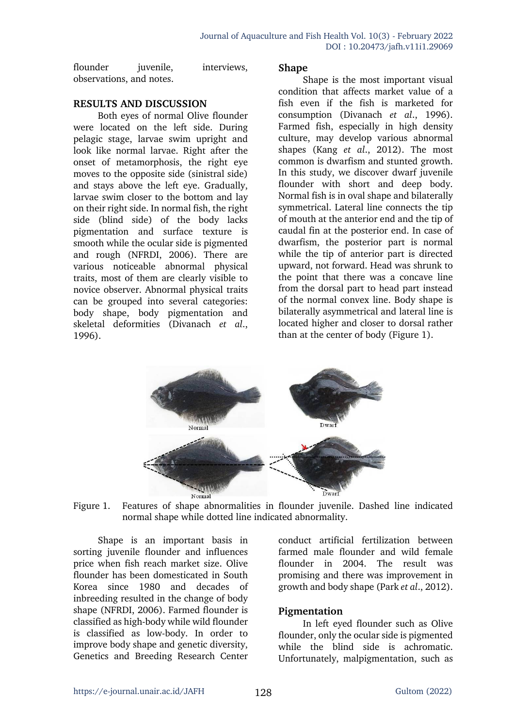| flounder                 | juvenile, | interviews, |
|--------------------------|-----------|-------------|
| observations, and notes. |           |             |

#### **RESULTS AND DISCUSSION**

Both eyes of normal Olive flounder were located on the left side. During pelagic stage, larvae swim upright and look like normal larvae. Right after the onset of metamorphosis, the right eye moves to the opposite side (sinistral side) and stays above the left eye. Gradually, larvae swim closer to the bottom and lay on their right side. In normal fish, the right side (blind side) of the body lacks pigmentation and surface texture is smooth while the ocular side is pigmented and rough (NFRDI, 2006). There are various noticeable abnormal physical traits, most of them are clearly visible to novice observer. Abnormal physical traits can be grouped into several categories: body shape, body pigmentation and skeletal deformities (Divanach *et al*., 1996).

#### **Shape**

Shape is the most important visual condition that affects market value of a fish even if the fish is marketed for consumption (Divanach *et al*., 1996). Farmed fish, especially in high density culture, may develop various abnormal shapes (Kang *et al*., 2012). The most common is dwarfism and stunted growth. In this study, we discover dwarf juvenile flounder with short and deep body. Normal fish is in oval shape and bilaterally symmetrical. Lateral line connects the tip of mouth at the anterior end and the tip of caudal fin at the posterior end. In case of dwarfism, the posterior part is normal while the tip of anterior part is directed upward, not forward. Head was shrunk to the point that there was a concave line from the dorsal part to head part instead of the normal convex line. Body shape is bilaterally asymmetrical and lateral line is located higher and closer to dorsal rather than at the center of body (Figure 1).



Figure 1. Features of shape abnormalities in flounder juvenile. Dashed line indicated normal shape while dotted line indicated abnormality.

Shape is an important basis in sorting juvenile flounder and influences price when fish reach market size. Olive flounder has been domesticated in South Korea since 1980 and decades of inbreeding resulted in the change of body shape (NFRDI, 2006). Farmed flounder is classified as high-body while wild flounder is classified as low-body. In order to improve body shape and genetic diversity, Genetics and Breeding Research Center

conduct artificial fertilization between farmed male flounder and wild female flounder in 2004. The result was promising and there was improvement in growth and body shape (Park *et al*., 2012).

## **Pigmentation**

In left eyed flounder such as Olive flounder, only the ocular side is pigmented while the blind side is achromatic. Unfortunately, malpigmentation, such as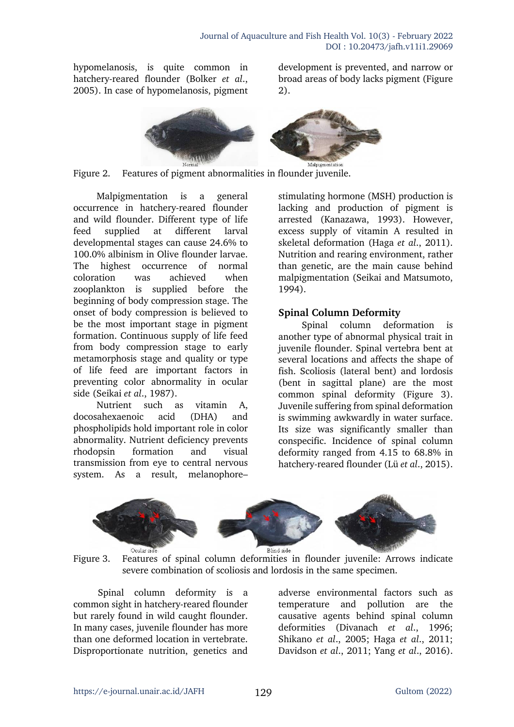hypomelanosis, is quite common in hatchery-reared flounder (Bolker *et al*., 2005). In case of hypomelanosis, pigment development is prevented, and narrow or broad areas of body lacks pigment (Figure 2).



Figure 2. Features of pigment abnormalities in flounder juvenile.

Malpigmentation is a general occurrence in hatchery-reared flounder and wild flounder. Different type of life feed supplied at different larval developmental stages can cause 24.6% to 100.0% albinism in Olive flounder larvae. The highest occurrence of normal coloration was achieved when zooplankton is supplied before the beginning of body compression stage. The onset of body compression is believed to be the most important stage in pigment formation. Continuous supply of life feed from body compression stage to early metamorphosis stage and quality or type of life feed are important factors in preventing color abnormality in ocular side (Seikai *et al*., 1987).

Nutrient such as vitamin A, docosahexaenoic acid (DHA) and phospholipids hold important role in color abnormality. Nutrient deficiency prevents rhodopsin formation and visual transmission from eye to central nervous system. As a result, melanophore–

stimulating hormone (MSH) production is lacking and production of pigment is arrested (Kanazawa, 1993). However, excess supply of vitamin A resulted in skeletal deformation (Haga *et al*., 2011). Nutrition and rearing environment, rather than genetic, are the main cause behind malpigmentation (Seikai and Matsumoto, 1994).

## **Spinal Column Deformity**

Spinal column deformation is another type of abnormal physical trait in juvenile flounder. Spinal vertebra bent at several locations and affects the shape of fish. Scoliosis (lateral bent) and lordosis (bent in sagittal plane) are the most common spinal deformity (Figure 3). Juvenile suffering from spinal deformation is swimming awkwardly in water surface. Its size was significantly smaller than conspecific. Incidence of spinal column deformity ranged from 4.15 to 68.8% in hatchery-reared flounder (Lü *et al*., 2015).



Figure 3. Features of spinal column deformities in flounder juvenile: Arrows indicate severe combination of scoliosis and lordosis in the same specimen.

Spinal column deformity is a common sight in hatchery-reared flounder but rarely found in wild caught flounder. In many cases, juvenile flounder has more than one deformed location in vertebrate. Disproportionate nutrition, genetics and

adverse environmental factors such as temperature and pollution are the causative agents behind spinal column deformities (Divanach *et al*., 1996; Shikano *et al*., 2005; Haga *et al*., 2011; Davidson *et al*., 2011; Yang *et al*., 2016).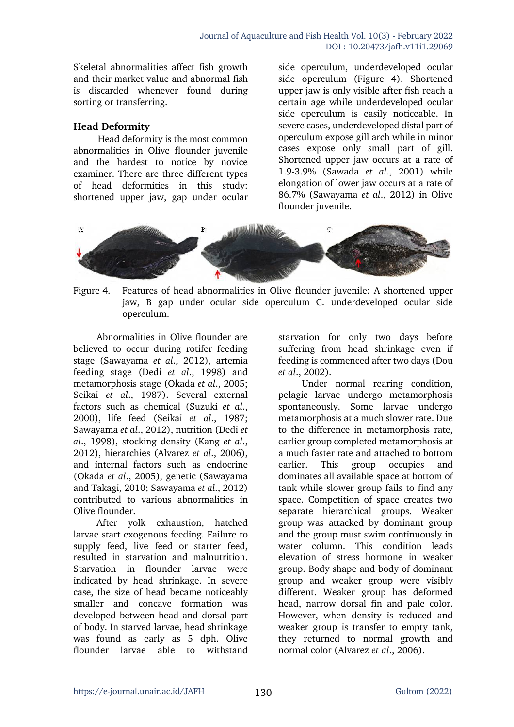Skeletal abnormalities affect fish growth and their market value and abnormal fish is discarded whenever found during sorting or transferring.

### **Head Deformity**

Head deformity is the most common abnormalities in Olive flounder juvenile and the hardest to notice by novice examiner. There are three different types of head deformities in this study: shortened upper jaw, gap under ocular

side operculum, underdeveloped ocular side operculum (Figure 4). Shortened upper jaw is only visible after fish reach a certain age while underdeveloped ocular side operculum is easily noticeable. In severe cases, underdeveloped distal part of operculum expose gill arch while in minor cases expose only small part of gill. Shortened upper jaw occurs at a rate of 1.9-3.9% (Sawada *et al*., 2001) while elongation of lower jaw occurs at a rate of 86.7% (Sawayama *et al*., 2012) in Olive flounder juvenile.



Figure 4. Features of head abnormalities in Olive flounder juvenile: A shortened upper jaw, B gap under ocular side operculum C. underdeveloped ocular side operculum.

Abnormalities in Olive flounder are believed to occur during rotifer feeding stage (Sawayama *et al*., 2012), artemia feeding stage (Dedi *et al*., 1998) and metamorphosis stage (Okada *et al*., 2005; Seikai *et al*., 1987). Several external factors such as chemical (Suzuki *et al*., 2000), life feed (Seikai *et al*., 1987; Sawayama *et al*., 2012), nutrition (Dedi *et al*., 1998), stocking density (Kang *et al*., 2012), hierarchies (Alvarez *et al*., 2006), and internal factors such as endocrine (Okada *et al*., 2005), genetic (Sawayama and Takagi, 2010; Sawayama *et al*., 2012) contributed to various abnormalities in Olive flounder.

After yolk exhaustion, hatched larvae start exogenous feeding. Failure to supply feed, live feed or starter feed, resulted in starvation and malnutrition. Starvation in flounder larvae were indicated by head shrinkage. In severe case, the size of head became noticeably smaller and concave formation was developed between head and dorsal part of body. In starved larvae, head shrinkage was found as early as 5 dph. Olive flounder larvae able to withstand

starvation for only two days before suffering from head shrinkage even if feeding is commenced after two days (Dou *et al*., 2002).

Under normal rearing condition, pelagic larvae undergo metamorphosis spontaneously. Some larvae undergo metamorphosis at a much slower rate. Due to the difference in metamorphosis rate, earlier group completed metamorphosis at a much faster rate and attached to bottom earlier. This group occupies and dominates all available space at bottom of tank while slower group fails to find any space. Competition of space creates two separate hierarchical groups. Weaker group was attacked by dominant group and the group must swim continuously in water column. This condition leads elevation of stress hormone in weaker group. Body shape and body of dominant group and weaker group were visibly different. Weaker group has deformed head, narrow dorsal fin and pale color. However, when density is reduced and weaker group is transfer to empty tank, they returned to normal growth and normal color (Alvarez *et al*., 2006).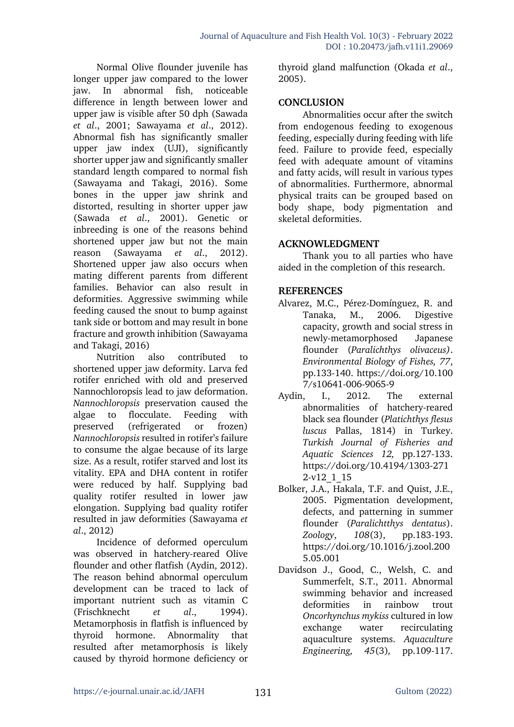Normal Olive flounder juvenile has longer upper jaw compared to the lower jaw. In abnormal fish, noticeable difference in length between lower and upper jaw is visible after 50 dph (Sawada *et al*., 2001; Sawayama *et al*., 2012). Abnormal fish has significantly smaller upper jaw index (UJI), significantly shorter upper jaw and significantly smaller standard length compared to normal fish (Sawayama and Takagi, 2016). Some bones in the upper jaw shrink and distorted, resulting in shorter upper jaw (Sawada *et al*., 2001). Genetic or inbreeding is one of the reasons behind shortened upper jaw but not the main reason (Sawayama *et al*., 2012). Shortened upper jaw also occurs when mating different parents from different families. Behavior can also result in deformities. Aggressive swimming while feeding caused the snout to bump against tank side or bottom and may result in bone fracture and growth inhibition (Sawayama and Takagi, 2016)

Nutrition also contributed to shortened upper jaw deformity. Larva fed rotifer enriched with old and preserved Nannochloropsis lead to jaw deformation. *Nannochloropsis* preservation caused the algae to flocculate. Feeding with preserved (refrigerated or frozen) *Nannochloropsis* resulted in rotifer's failure to consume the algae because of its large size. As a result, rotifer starved and lost its vitality. EPA and DHA content in rotifer were reduced by half. Supplying bad quality rotifer resulted in lower jaw elongation. Supplying bad quality rotifer resulted in jaw deformities (Sawayama *et al*., 2012)

Incidence of deformed operculum was observed in hatchery-reared Olive flounder and other flatfish (Aydin, 2012). The reason behind abnormal operculum development can be traced to lack of important nutrient such as vitamin C (Frischknecht *et al*., 1994). Metamorphosis in flatfish is influenced by thyroid hormone. Abnormality that resulted after metamorphosis is likely caused by thyroid hormone deficiency or

thyroid gland malfunction (Okada *et al*., 2005).

### **CONCLUSION**

Abnormalities occur after the switch from endogenous feeding to exogenous feeding, especially during feeding with life feed. Failure to provide feed, especially feed with adequate amount of vitamins and fatty acids, will result in various types of abnormalities. Furthermore, abnormal physical traits can be grouped based on body shape, body pigmentation and skeletal deformities.

### **ACKNOWLEDGMENT**

Thank you to all parties who have aided in the completion of this research.

### **REFERENCES**

- Alvarez, M.C., Pérez-Domínguez, R. and Tanaka, M., 2006. Digestive capacity, growth and social stress in newly-metamorphosed Japanese flounder (*Paralichthys olivaceus)*. *Environmental Biology of Fishes, 77*, pp.133-140. https://doi.org/10.100 7/s10641-006-9065-9
- Aydin, I., 2012. The external abnormalities of hatchery-reared black sea flounder (*Platichthys flesus luscus* Pallas, 1814) in Turkey. *Turkish Journal of Fisheries and Aquatic Sciences 12,* pp.127-133. https://doi.org/10.4194/1303-271 2-v12\_1\_15
- Bolker, J.A., Hakala, T.F. and Quist, J.E., 2005. Pigmentation development, defects, and patterning in summer flounder (*Paralichtthys dentatus*). *Zoology*, *108*(3), pp.183-193. https://doi.org/10.1016/j.zool.200 5.05.001
- Davidson J., Good, C., Welsh, C. and Summerfelt, S.T., 2011. Abnormal swimming behavior and increased deformities in rainbow trout *Oncorhynchus mykiss* cultured in low exchange water recirculating aquaculture systems. *Aquaculture Engineering, 45*(3)*,* pp.109-117.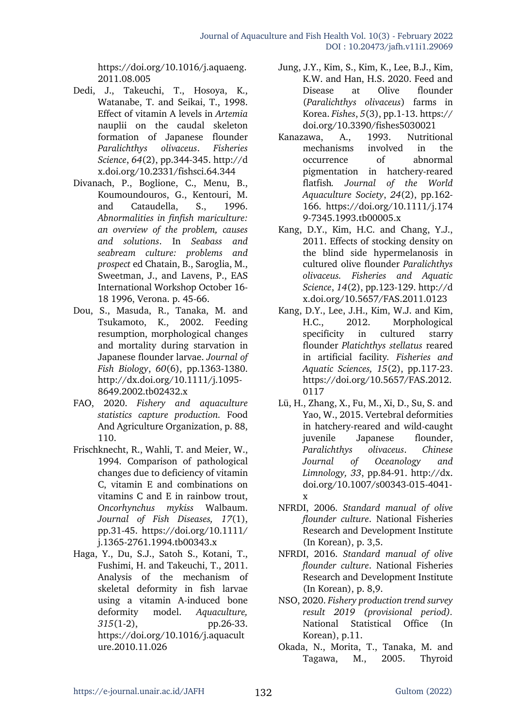https://doi.org/10.1016/j.aquaeng. 2011.08.005

- Dedi, J., Takeuchi, T., Hosoya, K., Watanabe, T. and Seikai, T., 1998. Effect of vitamin A levels in *Artemia* nauplii on the caudal skeleton formation of Japanese flounder *Paralichthys olivaceus*. *Fisheries Science*, *64*(2), pp.344-345. http://d x.doi.org/10.2331/fishsci.64.344
- Divanach, P., Boglione, C., Menu, B., Koumoundouros, G., Kentouri, M. and Cataudella, S., 1996. *Abnormalities in finfish mariculture: an overview of the problem, causes and solutions*. In *Seabass and seabream culture: problems and prospect* ed Chatain, B., Saroglia, M., Sweetman, J., and Lavens, P., EAS International Workshop October 16- 18 1996, Verona. p. 45-66.
- Dou, S., Masuda, R., Tanaka, M. and Tsukamoto, K., 2002. Feeding resumption, morphological changes and mortality during starvation in Japanese flounder larvae. *Journal of Fish Biology*, *60*(6), pp.1363-1380. http://dx.doi.org/10.1111/j.1095- 8649.2002.tb02432.x
- FAO, 2020. *Fishery and aquaculture statistics capture production.* Food And Agriculture Organization, p. 88, 110.
- Frischknecht, R., Wahli, T. and Meier, W., 1994. Comparison of pathological changes due to deficiency of vitamin C, vitamin E and combinations on vitamins C and E in rainbow trout, *Oncorhynchus mykiss* Walbaum. *Journal of Fish Diseases, 17*(1), pp.31-45. https://doi.org/10.1111/ j.1365-2761.1994.tb00343.x
- Haga, Y., Du, S.J., Satoh S., Kotani, T., Fushimi, H. and Takeuchi, T., 2011. Analysis of the mechanism of skeletal deformity in fish larvae using a vitamin A-induced bone deformity model. *Aquaculture, 315*(1-2), pp.26-33. https://doi.org/10.1016/j.aquacult ure.2010.11.026
- Jung, J.Y., Kim, S., Kim, K., Lee, B.J., Kim, K.W. and Han, H.S. 2020. Feed and Disease at Olive flounder (*Paralichthys olivaceus*) farms in Korea. *Fishes*, *5*(3), pp.1-13. https:// doi.org/10.3390/fishes5030021
- Kanazawa, A., 1993. Nutritional mechanisms involved in the occurrence of abnormal pigmentation in hatchery-reared flatfish*. Journal of the World Aquaculture Society*, *24*(2), pp.162- 166. https://doi.org/10.1111/j.174 9-7345.1993.tb00005.x
- Kang, D.Y., Kim, H.C. and Chang, Y.J., 2011. Effects of stocking density on the blind side hypermelanosis in cultured olive flounder *Paralichthys olivaceus. Fisheries and Aquatic Science*, *14*(2), pp.123-129. http://d x.doi.org/10.5657/FAS.2011.0123
- Kang, D.Y., Lee, J.H., Kim, W.J. and Kim, H.C., 2012. Morphological specificity in cultured starry flounder *Platichthys stellatus* reared in artificial facility*. Fisheries and Aquatic Sciences, 15*(2), pp.117-23. https://doi.org/10.5657/FAS.2012. 0117
- Lü, H., Zhang, X., Fu, M., Xi, D., Su, S. and Yao, W., 2015. Vertebral deformities in hatchery-reared and wild-caught juvenile Japanese flounder, *Paralichthys olivaceus*. *Chinese Journal of Oceanology and Limnology, 33*, pp.84-91. http://dx. doi.org/10.1007/s00343-015-4041 x
- NFRDI, 2006. *Standard manual of olive flounder culture*. National Fisheries Research and Development Institute (In Korean), p. 3,5.
- NFRDI, 2016. *Standard manual of olive flounder culture*. National Fisheries Research and Development Institute (In Korean), p. 8,9.
- NSO, 2020. *Fishery production trend survey result 2019 (provisional period).* National Statistical Office (In Korean), p.11.
- Okada, N., Morita, T., Tanaka, M. and Tagawa, M., 2005. Thyroid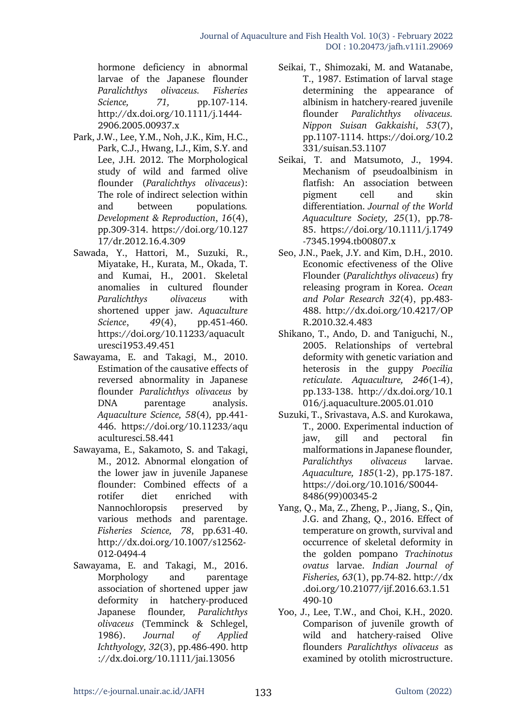hormone deficiency in abnormal larvae of the Japanese flounder *Paralichthys olivaceus. Fisheries Science, 71,* pp.107-114. http://dx.doi.org/10.1111/j.1444- 2906.2005.00937.x

- Park, J.W., Lee, Y.M., Noh, J.K., Kim, H.C., Park, C.J., Hwang, I.J., Kim, S.Y. and Lee, J.H. 2012. The Morphological study of wild and farmed olive flounder (*Paralichthys olivaceus*): The role of indirect selection within and between populations*. Development & Reproduction*, *16*(4), pp.309-314. https://doi.org/10.127 17/dr.2012.16.4.309
- Sawada, Y., Hattori, M., Suzuki, R., Miyatake, H., Kurata, M., Okada, T. and Kumai, H., 2001. Skeletal anomalies in cultured flounder *Paralichthys olivaceus* with shortened upper jaw. *Aquaculture Science*, *49*(4), pp.451-460. https://doi.org/10.11233/aquacult uresci1953.49.451
- Sawayama, E. and Takagi, M., 2010. Estimation of the causative effects of reversed abnormality in Japanese flounder *Paralichthys olivaceus* by DNA parentage analysis. *Aquaculture Science, 58*(4)*,* pp.441- 446. https://doi.org/10.11233/aqu aculturesci.58.441
- Sawayama, E., Sakamoto, S. and Takagi, M., 2012. Abnormal elongation of the lower jaw in juvenile Japanese flounder: Combined effects of a rotifer diet enriched with Nannochloropsis preserved by various methods and parentage. *Fisheries Science, 78*, pp.631-40. http://dx.doi.org/10.1007/s12562- 012-0494-4
- Sawayama, E. and Takagi, M., 2016. Morphology and parentage association of shortened upper jaw deformity in hatchery-produced Japanese flounder*, Paralichthys olivaceus* (Temminck & Schlegel, 1986). *Journal of Applied Ichthyology, 32*(3), pp.486-490. http ://dx.doi.org/10.1111/jai.13056
- Seikai, T., Shimozaki, M. and Watanabe, T., 1987. Estimation of larval stage determining the appearance of albinism in hatchery-reared juvenile flounder *Paralichthys olivaceus. Nippon Suisan Gakkaishi*, *53*(7), pp.1107-1114. https://doi.org/10.2 331/suisan.53.1107
- Seikai, T. and Matsumoto, J., 1994. Mechanism of pseudoalbinism in flatfish: An association between pigment cell and skin differentiation. *Journal of the World Aquaculture Society, 25*(1), pp.78- 85. https://doi.org/10.1111/j.1749 -7345.1994.tb00807.x
- Seo, J.N., Paek, J.Y. and Kim, D.H., 2010. Economic efectiveness of the Olive Flounder (*Paralichthys olivaceus*) fry releasing program in Korea. *Ocean and Polar Research 32*(4), pp.483- 488. http://dx.doi.org/10.4217/OP R.2010.32.4.483
- Shikano, T., Ando, D. and Taniguchi, N., 2005. Relationships of vertebral deformity with genetic variation and heterosis in the guppy *Poecilia reticulate. Aquaculture, 246*(1-4), pp.133-138. http://dx.doi.org/10.1 016/j.aquaculture.2005.01.010
- Suzuki, T., Srivastava, A.S. and Kurokawa, T., 2000. Experimental induction of jaw, gill and pectoral fin malformations in Japanese flounder*, Paralichthys olivaceus* larvae. *Aquaculture, 185*(1-2), pp.175-187. https://doi.org/10.1016/S0044- 8486(99)00345-2
- Yang, Q., Ma, Z., Zheng, P., Jiang, S., Qin, J.G. and Zhang, Q., 2016. Effect of temperature on growth, survival and occurrence of skeletal deformity in the golden pompano *Trachinotus ovatus* larvae. *Indian Journal of Fisheries, 63*(1), pp.74-82. http://dx .doi.org/10.21077/ijf.2016.63.1.51 490-10
- Yoo, J., Lee, T.W., and Choi, K.H., 2020. Comparison of juvenile growth of wild and hatchery-raised Olive flounders *Paralichthys olivaceus* as examined by otolith microstructure.